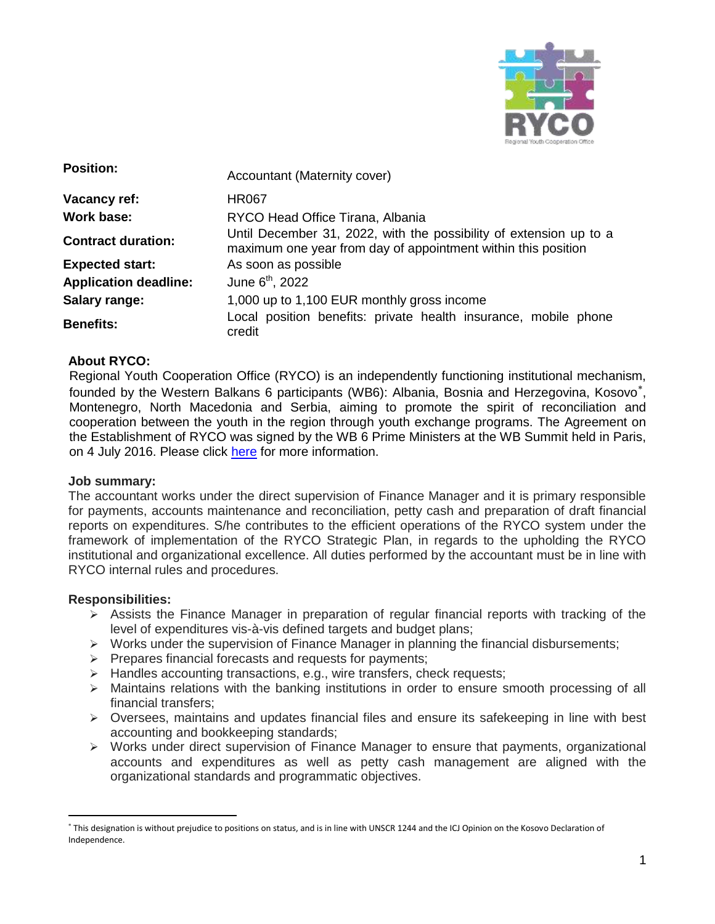

| <b>Position:</b>             | Accountant (Maternity cover)                                                                                                        |
|------------------------------|-------------------------------------------------------------------------------------------------------------------------------------|
| Vacancy ref:                 | <b>HR067</b>                                                                                                                        |
| Work base:                   | RYCO Head Office Tirana, Albania                                                                                                    |
| <b>Contract duration:</b>    | Until December 31, 2022, with the possibility of extension up to a<br>maximum one year from day of appointment within this position |
| <b>Expected start:</b>       | As soon as possible                                                                                                                 |
| <b>Application deadline:</b> | June 6 <sup>th</sup> , 2022                                                                                                         |
| Salary range:                | 1,000 up to 1,100 EUR monthly gross income                                                                                          |
| <b>Benefits:</b>             | Local position benefits: private health insurance, mobile phone<br>credit                                                           |

### **About RYCO:**

Regional Youth Cooperation Office (RYCO) is an independently functioning institutional mechanism, founded by the Western Balkans 6 participants (WB6): Albania, Bosnia and Herzegovina, Kosovo , Montenegro, North Macedonia and Serbia, aiming to promote the spirit of reconciliation and cooperation between the youth in the region through youth exchange programs. The Agreement on the Establishment of RYCO was signed by the WB 6 Prime Ministers at the WB Summit held in Paris, on 4 July 2016. Please click [here](https://www.rycowb.org/) for more information.

### **Job summary:**

The accountant works under the direct supervision of Finance Manager and it is primary responsible for payments, accounts maintenance and reconciliation, petty cash and preparation of draft financial reports on expenditures. S/he contributes to the efficient operations of the RYCO system under the framework of implementation of the RYCO Strategic Plan, in regards to the upholding the RYCO institutional and organizational excellence. All duties performed by the accountant must be in line with RYCO internal rules and procedures.

### **Responsibilities:**

 $\overline{a}$ 

- $\triangleright$  Assists the Finance Manager in preparation of regular financial reports with tracking of the level of expenditures vis-à-vis defined targets and budget plans;
- $\triangleright$  Works under the supervision of Finance Manager in planning the financial disbursements;
- $\triangleright$  Prepares financial forecasts and requests for payments;
- > Handles accounting transactions, e.g., wire transfers, check requests;
- $\triangleright$  Maintains relations with the banking institutions in order to ensure smooth processing of all financial transfers;
- $\triangleright$  Oversees, maintains and updates financial files and ensure its safekeeping in line with best accounting and bookkeeping standards;
- Works under direct supervision of Finance Manager to ensure that payments, organizational accounts and expenditures as well as petty cash management are aligned with the organizational standards and programmatic objectives.

This designation is without prejudice to positions on status, and is in line with UNSCR 1244 and the ICJ Opinion on the Kosovo Declaration of Independence.